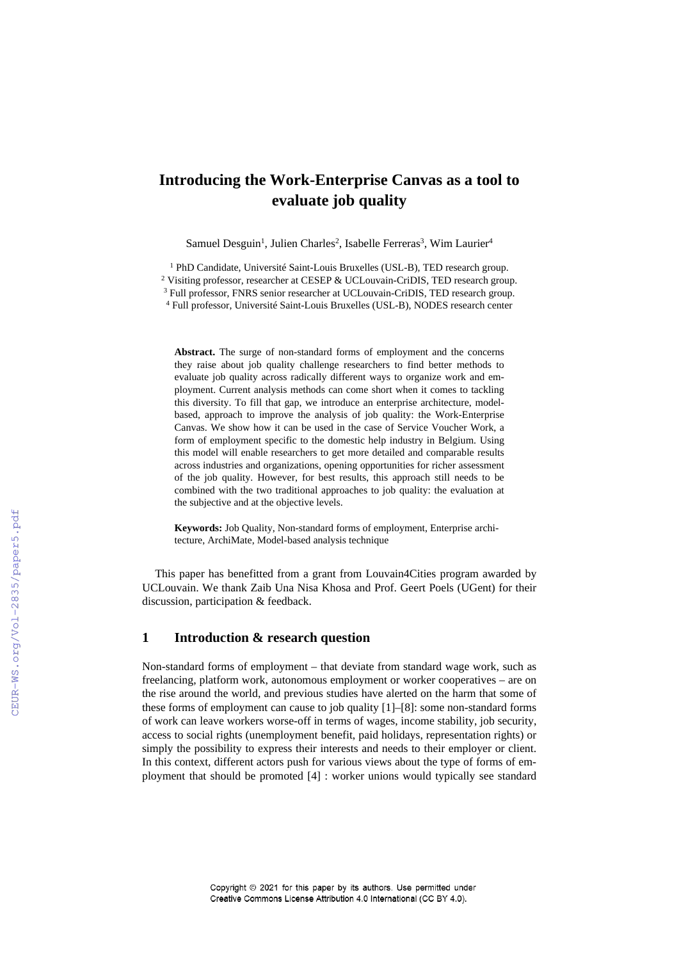# **Introducing the Work-Enterprise Canvas as a tool to evaluate job quality**

Samuel Desguin<sup>1</sup>, Julien Charles<sup>2</sup>, Isabelle Ferreras<sup>3</sup>, Wim Laurier<sup>4</sup>

<sup>1</sup> PhD Candidate, Université Saint-Louis Bruxelles (USL-B), TED research group.

<sup>2</sup> Visiting professor, researcher at CESEP & UCLouvain-CriDIS, TED research group.

<sup>3</sup> Full professor, FNRS senior researcher at UCLouvain-CriDIS, TED research group.

<sup>4</sup> Full professor, Université Saint-Louis Bruxelles (USL-B), NODES research center

**Abstract.** The surge of non-standard forms of employment and the concerns they raise about job quality challenge researchers to find better methods to evaluate job quality across radically different ways to organize work and employment. Current analysis methods can come short when it comes to tackling this diversity. To fill that gap, we introduce an enterprise architecture, modelbased, approach to improve the analysis of job quality: the Work-Enterprise Canvas. We show how it can be used in the case of Service Voucher Work, a form of employment specific to the domestic help industry in Belgium. Using this model will enable researchers to get more detailed and comparable results across industries and organizations, opening opportunities for richer assessment of the job quality. However, for best results, this approach still needs to be combined with the two traditional approaches to job quality: the evaluation at the subjective and at the objective levels.

**Keywords:** Job Quality, Non-standard forms of employment, Enterprise architecture, ArchiMate, Model-based analysis technique

This paper has benefitted from a grant from Louvain4Cities program awarded by UCLouvain. We thank Zaib Una Nisa Khosa and Prof. Geert Poels (UGent) for their discussion, participation & feedback.

## **1 Introduction & research question**

Non-standard forms of employment – that deviate from standard wage work, such as freelancing, platform work, autonomous employment or worker cooperatives – are on the rise around the world, and previous studies have alerted on the harm that some of these forms of employment can cause to job quality [1]–[8]: some non-standard forms of work can leave workers worse-off in terms of wages, income stability, job security, access to social rights (unemployment benefit, paid holidays, representation rights) or simply the possibility to express their interests and needs to their employer or client. In this context, different actors push for various views about the type of forms of employment that should be promoted [4] : worker unions would typically see standard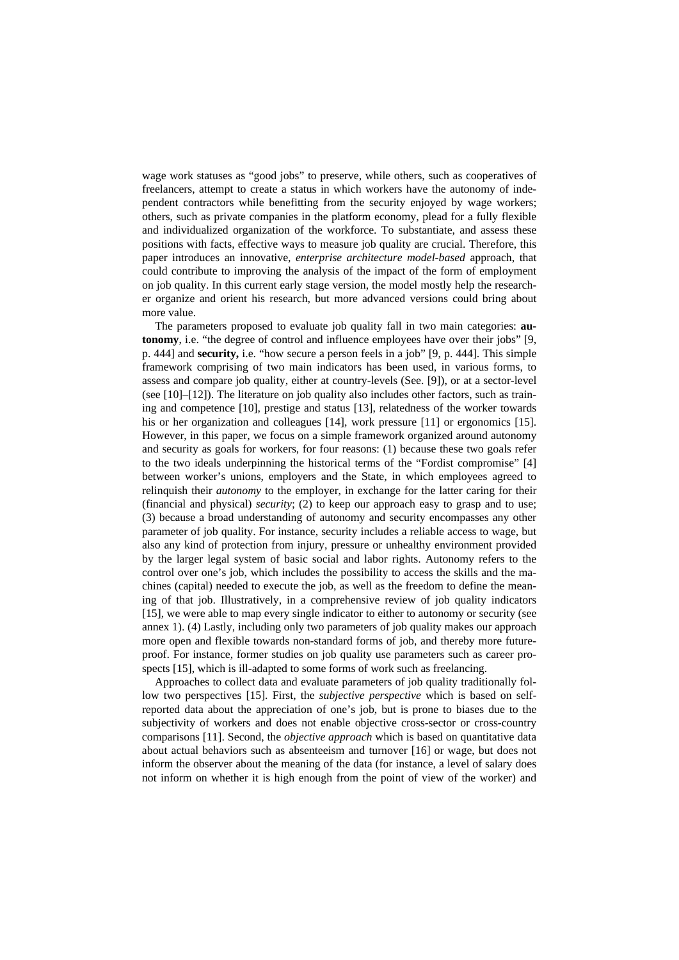wage work statuses as "good jobs" to preserve, while others, such as cooperatives of freelancers, attempt to create a status in which workers have the autonomy of independent contractors while benefitting from the security enjoyed by wage workers; others, such as private companies in the platform economy, plead for a fully flexible and individualized organization of the workforce. To substantiate, and assess these positions with facts, effective ways to measure job quality are crucial. Therefore, this paper introduces an innovative, *enterprise architecture model-based* approach, that could contribute to improving the analysis of the impact of the form of employment on job quality. In this current early stage version, the model mostly help the researcher organize and orient his research, but more advanced versions could bring about more value.

The parameters proposed to evaluate job quality fall in two main categories: **autonomy**, i.e. "the degree of control and influence employees have over their jobs" [9, p. 444] and **security,** i.e. "how secure a person feels in a job" [9, p. 444]. This simple framework comprising of two main indicators has been used, in various forms, to assess and compare job quality, either at country-levels (See. [9]), or at a sector-level (see [10]–[12]). The literature on job quality also includes other factors, such as training and competence [10], prestige and status [13], relatedness of the worker towards his or her organization and colleagues [14], work pressure [11] or ergonomics [15]. However, in this paper, we focus on a simple framework organized around autonomy and security as goals for workers, for four reasons: (1) because these two goals refer to the two ideals underpinning the historical terms of the "Fordist compromise" [4] between worker's unions, employers and the State, in which employees agreed to relinquish their *autonomy* to the employer, in exchange for the latter caring for their (financial and physical) *security*; (2) to keep our approach easy to grasp and to use; (3) because a broad understanding of autonomy and security encompasses any other parameter of job quality. For instance, security includes a reliable access to wage, but also any kind of protection from injury, pressure or unhealthy environment provided by the larger legal system of basic social and labor rights. Autonomy refers to the control over one's job, which includes the possibility to access the skills and the machines (capital) needed to execute the job, as well as the freedom to define the meaning of that job. Illustratively, in a comprehensive review of job quality indicators [15], we were able to map every single indicator to either to autonomy or security (see annex 1). (4) Lastly, including only two parameters of job quality makes our approach more open and flexible towards non-standard forms of job, and thereby more futureproof. For instance, former studies on job quality use parameters such as career prospects [15], which is ill-adapted to some forms of work such as freelancing.

Approaches to collect data and evaluate parameters of job quality traditionally follow two perspectives [15]. First, the *subjective perspective* which is based on selfreported data about the appreciation of one's job, but is prone to biases due to the subjectivity of workers and does not enable objective cross-sector or cross-country comparisons [11]. Second, the *objective approach* which is based on quantitative data about actual behaviors such as absenteeism and turnover [16] or wage, but does not inform the observer about the meaning of the data (for instance, a level of salary does not inform on whether it is high enough from the point of view of the worker) and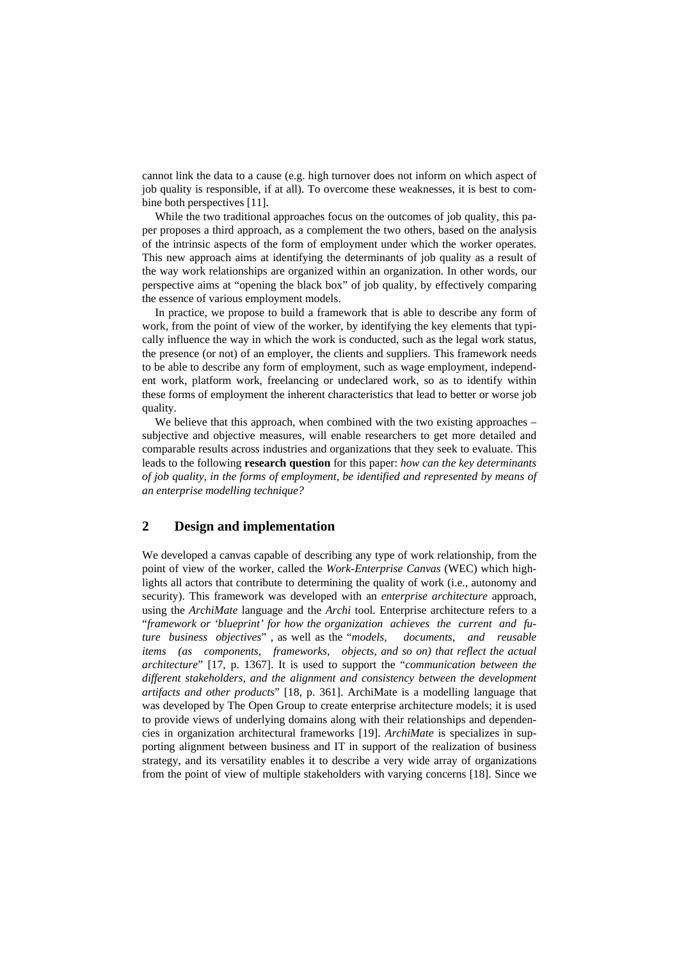cannot link the data to a cause (e.g. high turnover does not inform on which aspect of job quality is responsible, if at all). To overcome these weaknesses, it is best to combine both perspectives [11].

While the two traditional approaches focus on the outcomes of job quality, this paper proposes a third approach, as a complement the two others, based on the analysis of the intrinsic aspects of the form of employment under which the worker operates. This new approach aims at identifying the determinants of job quality as a result of the way work relationships are organized within an organization. In other words, our perspective aims at "opening the black box" of job quality, by effectively comparing the essence of various employment models.

In practice, we propose to build a framework that is able to describe any form of work, from the point of view of the worker, by identifying the key elements that typically influence the way in which the work is conducted, such as the legal work status, the presence (or not) of an employer, the clients and suppliers. This framework needs to be able to describe any form of employment, such as wage employment, independent work, platform work, freelancing or undeclared work, so as to identify within these forms of employment the inherent characteristics that lead to better or worse job quality.

We believe that this approach, when combined with the two existing approaches – subjective and objective measures, will enable researchers to get more detailed and comparable results across industries and organizations that they seek to evaluate. This leads to the following **research question** for this paper: *how can the key determinants of job quality, in the forms of employment, be identified and represented by means of an enterprise modelling technique?*

## **2 Design and implementation**

We developed a canvas capable of describing any type of work relationship, from the point of view of the worker, called the *Work-Enterprise Canvas* (WEC) which highlights all actors that contribute to determining the quality of work (i.e., autonomy and security). This framework was developed with an *enterprise architecture* approach, using the *ArchiMate* language and the *Archi* tool. Enterprise architecture refers to a "*framework or 'blueprint' for how the organization achieves the current and future business objectives*" , as well as the "*models, documents, and reusable items (as components, frameworks, objects, and so on) that reflect the actual architecture*" [17, p. 1367]. It is used to support the "*communication between the different stakeholders, and the alignment and consistency between the development artifacts and other products*" [18, p. 361]. ArchiMate is a modelling language that was developed by The Open Group to create enterprise architecture models; it is used to provide views of underlying domains along with their relationships and dependencies in organization architectural frameworks [19]. *ArchiMate* is specializes in supporting alignment between business and IT in support of the realization of business strategy, and its versatility enables it to describe a very wide array of organizations from the point of view of multiple stakeholders with varying concerns [18]. Since we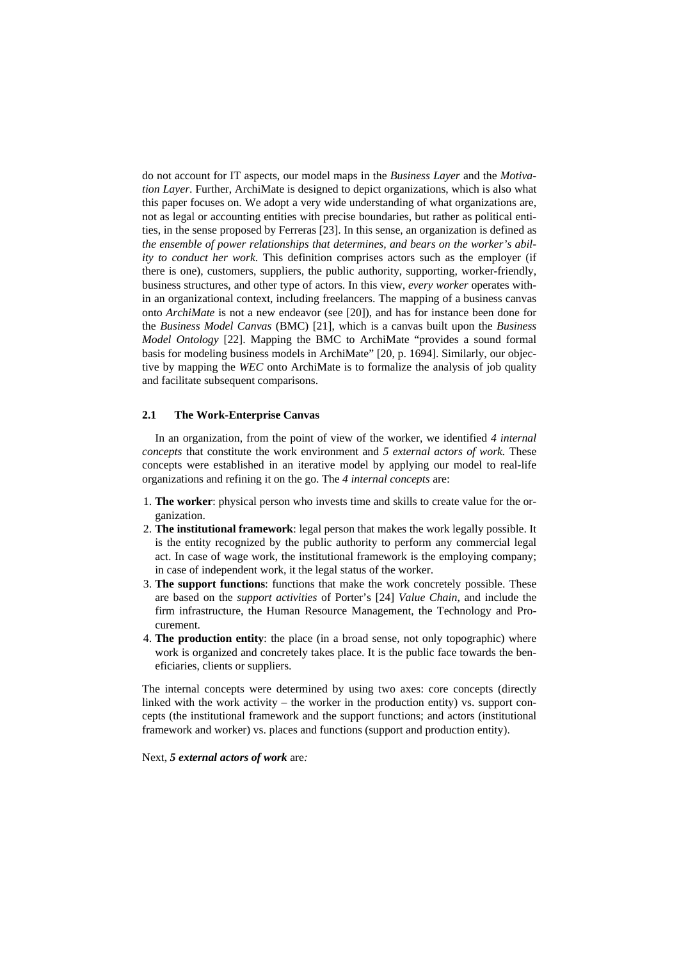do not account for IT aspects, our model maps in the *Business Layer* and the *Motivation Layer*. Further, ArchiMate is designed to depict organizations, which is also what this paper focuses on. We adopt a very wide understanding of what organizations are, not as legal or accounting entities with precise boundaries, but rather as political entities, in the sense proposed by Ferreras [23]. In this sense, an organization is defined as *the ensemble of power relationships that determines, and bears on the worker's ability to conduct her work*. This definition comprises actors such as the employer (if there is one), customers, suppliers, the public authority, supporting, worker-friendly, business structures, and other type of actors. In this view, *every worker* operates within an organizational context, including freelancers. The mapping of a business canvas onto *ArchiMate* is not a new endeavor (see [20]), and has for instance been done for the *Business Model Canvas* (BMC) [21], which is a canvas built upon the *Business Model Ontology* [22]. Mapping the BMC to ArchiMate "provides a sound formal basis for modeling business models in ArchiMate" [20, p. 1694]. Similarly, our objective by mapping the *WEC* onto ArchiMate is to formalize the analysis of job quality and facilitate subsequent comparisons.

#### **2.1 The Work-Enterprise Canvas**

In an organization, from the point of view of the worker, we identified *4 internal concepts* that constitute the work environment and *5 external actors of work.* These concepts were established in an iterative model by applying our model to real-life organizations and refining it on the go. The *4 internal concepts* are:

- 1. **The worker**: physical person who invests time and skills to create value for the organization.
- 2. **The institutional framework**: legal person that makes the work legally possible. It is the entity recognized by the public authority to perform any commercial legal act. In case of wage work, the institutional framework is the employing company; in case of independent work, it the legal status of the worker.
- 3. **The support functions**: functions that make the work concretely possible. These are based on the *support activities* of Porter's [24] *Value Chain*, and include the firm infrastructure, the Human Resource Management, the Technology and Procurement.
- 4. **The production entity**: the place (in a broad sense, not only topographic) where work is organized and concretely takes place. It is the public face towards the beneficiaries, clients or suppliers.

The internal concepts were determined by using two axes: core concepts (directly linked with the work activity – the worker in the production entity) vs. support concepts (the institutional framework and the support functions; and actors (institutional framework and worker) vs. places and functions (support and production entity).

Next, *5 external actors of work* are*:*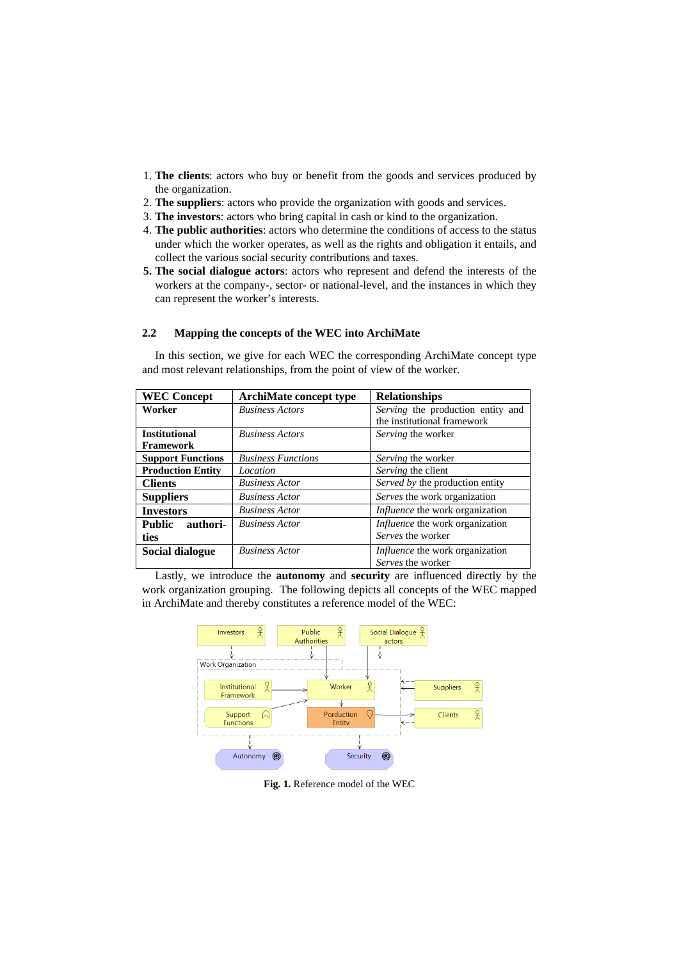- 1. **The clients**: actors who buy or benefit from the goods and services produced by the organization.
- 2. **The suppliers**: actors who provide the organization with goods and services.
- 3. **The investors**: actors who bring capital in cash or kind to the organization.
- 4. **The public authorities**: actors who determine the conditions of access to the status under which the worker operates, as well as the rights and obligation it entails, and collect the various social security contributions and taxes.
- **5. The social dialogue actors**: actors who represent and defend the interests of the workers at the company-, sector- or national-level, and the instances in which they can represent the worker's interests.

## **2.2 Mapping the concepts of the WEC into ArchiMate**

In this section, we give for each WEC the corresponding ArchiMate concept type and most relevant relationships, from the point of view of the worker.

| <b>WEC Concept</b>        | <b>ArchiMate concept type</b> | <b>Relationships</b>                   |
|---------------------------|-------------------------------|----------------------------------------|
| Worker                    | <b>Business Actors</b>        | Serving the production entity and      |
|                           |                               | the institutional framework            |
| <b>Institutional</b>      | <b>Business Actors</b>        | Serving the worker                     |
| <b>Framework</b>          |                               |                                        |
| <b>Support Functions</b>  | <b>Business Functions</b>     | Serving the worker                     |
| <b>Production Entity</b>  | Location                      | Serving the client                     |
| <b>Clients</b>            | <b>Business Actor</b>         | Served by the production entity        |
| <b>Suppliers</b>          | <b>Business Actor</b>         | Serves the work organization           |
| <b>Investors</b>          | <b>Business Actor</b>         | <i>Influence</i> the work organization |
| <b>Public</b><br>authori- | <b>Business Actor</b>         | <i>Influence</i> the work organization |
| ties                      |                               | Serves the worker                      |
| <b>Social dialogue</b>    | <b>Business Actor</b>         | <i>Influence</i> the work organization |
|                           |                               | Serves the worker                      |

Lastly, we introduce the **autonomy** and **security** are influenced directly by the work organization grouping. The following depicts all concepts of the WEC mapped in ArchiMate and thereby constitutes a reference model of the WEC:



**Fig. 1.** Reference model of the WEC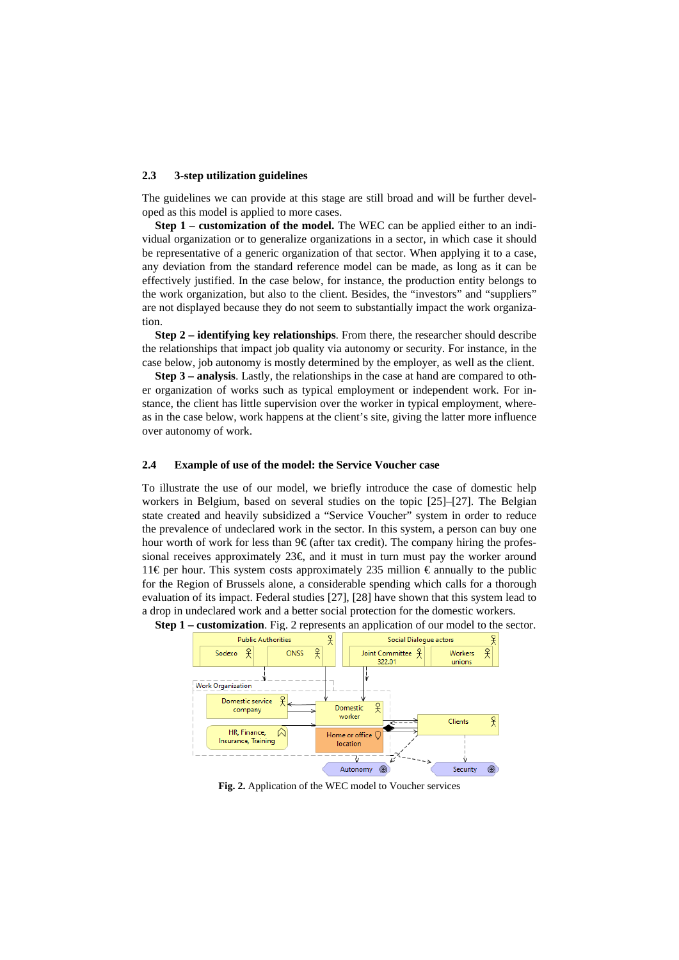#### **2.3 3-step utilization guidelines**

The guidelines we can provide at this stage are still broad and will be further developed as this model is applied to more cases.

**Step 1 – customization of the model.** The WEC can be applied either to an individual organization or to generalize organizations in a sector, in which case it should be representative of a generic organization of that sector. When applying it to a case, any deviation from the standard reference model can be made, as long as it can be effectively justified. In the case below, for instance, the production entity belongs to the work organization, but also to the client. Besides, the "investors" and "suppliers" are not displayed because they do not seem to substantially impact the work organization.

**Step 2 – identifying key relationships**. From there, the researcher should describe the relationships that impact job quality via autonomy or security. For instance, in the case below, job autonomy is mostly determined by the employer, as well as the client.

**Step 3 – analysis**. Lastly, the relationships in the case at hand are compared to other organization of works such as typical employment or independent work. For instance, the client has little supervision over the worker in typical employment, whereas in the case below, work happens at the client's site, giving the latter more influence over autonomy of work.

#### **2.4 Example of use of the model: the Service Voucher case**

To illustrate the use of our model, we briefly introduce the case of domestic help workers in Belgium, based on several studies on the topic [25]–[27]. The Belgian state created and heavily subsidized a "Service Voucher" system in order to reduce the prevalence of undeclared work in the sector. In this system, a person can buy one hour worth of work for less than  $9 \in \mathcal{E}$  (after tax credit). The company hiring the professional receives approximately  $23 \epsilon$  and it must in turn must pay the worker around 11€ per hour. This system costs approximately 235 million  $\epsilon$  annually to the public for the Region of Brussels alone, a considerable spending which calls for a thorough evaluation of its impact. Federal studies [27], [28] have shown that this system lead to a drop in undeclared work and a better social protection for the domestic workers.



**Step 1 – customization**. Fig. 2 represents an application of our model to the sector.

**Fig. 2.** Application of the WEC model to Voucher services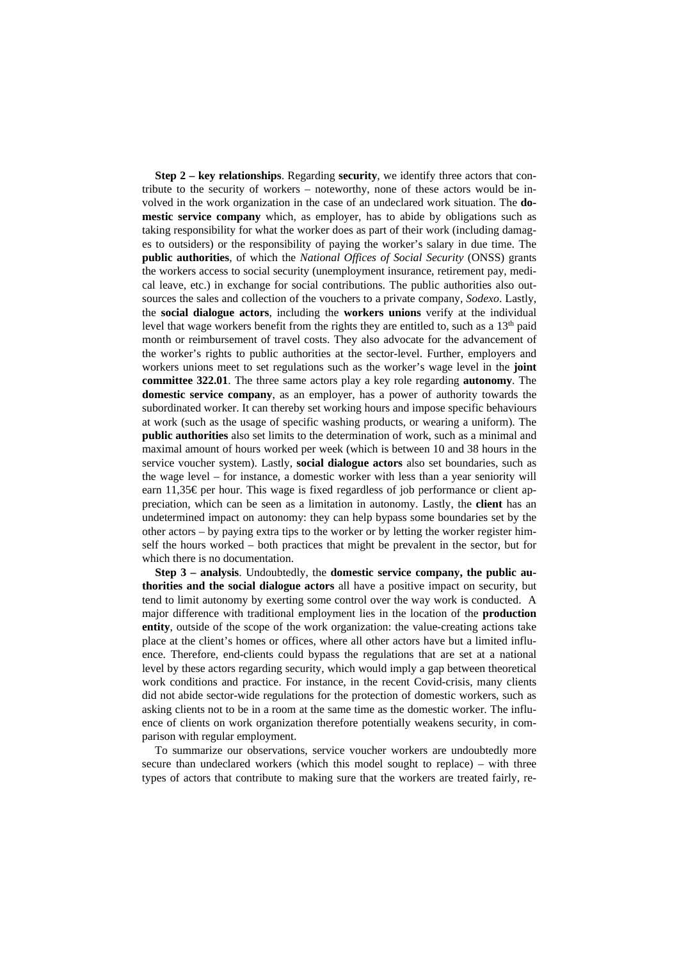**Step 2 – key relationships**. Regarding **security**, we identify three actors that contribute to the security of workers – noteworthy, none of these actors would be involved in the work organization in the case of an undeclared work situation. The **domestic service company** which, as employer, has to abide by obligations such as taking responsibility for what the worker does as part of their work (including damages to outsiders) or the responsibility of paying the worker's salary in due time. The **public authorities**, of which the *National Offices of Social Security* (ONSS) grants the workers access to social security (unemployment insurance, retirement pay, medical leave, etc.) in exchange for social contributions. The public authorities also outsources the sales and collection of the vouchers to a private company, *Sodexo*. Lastly, the **social dialogue actors**, including the **workers unions** verify at the individual level that wage workers benefit from the rights they are entitled to, such as a  $13<sup>th</sup>$  paid month or reimbursement of travel costs. They also advocate for the advancement of the worker's rights to public authorities at the sector-level. Further, employers and workers unions meet to set regulations such as the worker's wage level in the **joint committee 322.01**. The three same actors play a key role regarding **autonomy**. The **domestic service company**, as an employer, has a power of authority towards the subordinated worker. It can thereby set working hours and impose specific behaviours at work (such as the usage of specific washing products, or wearing a uniform). The **public authorities** also set limits to the determination of work, such as a minimal and maximal amount of hours worked per week (which is between 10 and 38 hours in the service voucher system). Lastly, **social dialogue actors** also set boundaries, such as the wage level – for instance, a domestic worker with less than a year seniority will earn 11,35€ per hour. This wage is fixed regardless of job performance or client appreciation, which can be seen as a limitation in autonomy. Lastly, the **client** has an undetermined impact on autonomy: they can help bypass some boundaries set by the other actors – by paying extra tips to the worker or by letting the worker register himself the hours worked – both practices that might be prevalent in the sector, but for which there is no documentation.

**Step 3 – analysis**. Undoubtedly, the **domestic service company, the public authorities and the social dialogue actors** all have a positive impact on security, but tend to limit autonomy by exerting some control over the way work is conducted. A major difference with traditional employment lies in the location of the **production entity**, outside of the scope of the work organization: the value-creating actions take place at the client's homes or offices, where all other actors have but a limited influence. Therefore, end-clients could bypass the regulations that are set at a national level by these actors regarding security, which would imply a gap between theoretical work conditions and practice. For instance, in the recent Covid-crisis, many clients did not abide sector-wide regulations for the protection of domestic workers, such as asking clients not to be in a room at the same time as the domestic worker. The influence of clients on work organization therefore potentially weakens security, in comparison with regular employment.

To summarize our observations, service voucher workers are undoubtedly more secure than undeclared workers (which this model sought to replace) – with three types of actors that contribute to making sure that the workers are treated fairly, re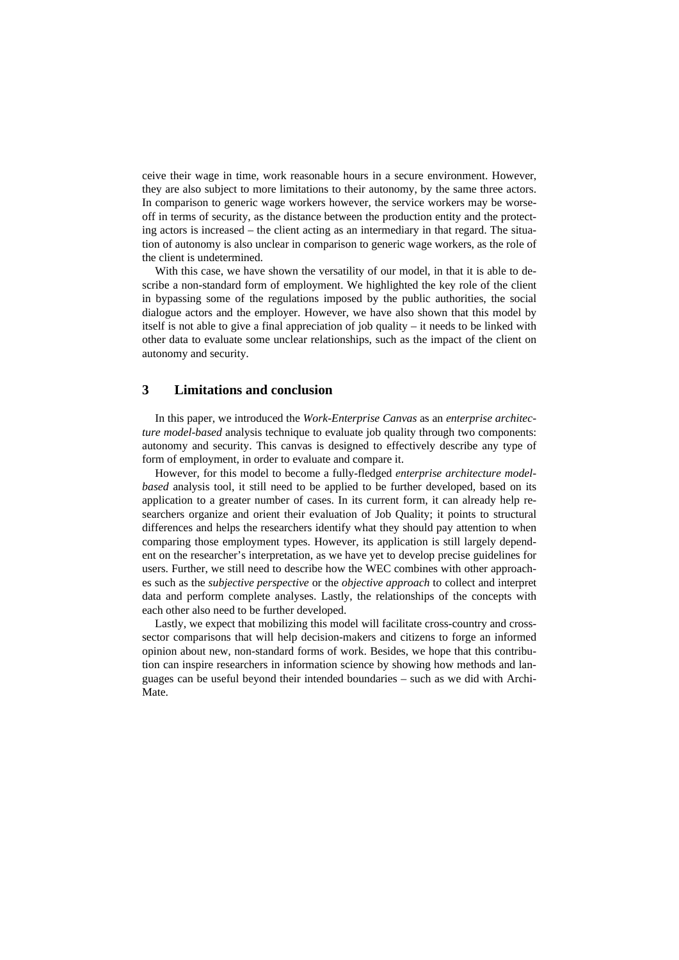ceive their wage in time, work reasonable hours in a secure environment. However, they are also subject to more limitations to their autonomy, by the same three actors. In comparison to generic wage workers however, the service workers may be worseoff in terms of security, as the distance between the production entity and the protecting actors is increased – the client acting as an intermediary in that regard. The situation of autonomy is also unclear in comparison to generic wage workers, as the role of the client is undetermined.

With this case, we have shown the versatility of our model, in that it is able to describe a non-standard form of employment. We highlighted the key role of the client in bypassing some of the regulations imposed by the public authorities, the social dialogue actors and the employer. However, we have also shown that this model by itself is not able to give a final appreciation of job quality – it needs to be linked with other data to evaluate some unclear relationships, such as the impact of the client on autonomy and security.

## **3 Limitations and conclusion**

In this paper, we introduced the *Work-Enterprise Canvas* as an *enterprise architecture model-based* analysis technique to evaluate job quality through two components: autonomy and security. This canvas is designed to effectively describe any type of form of employment, in order to evaluate and compare it.

However, for this model to become a fully-fledged *enterprise architecture modelbased* analysis tool, it still need to be applied to be further developed, based on its application to a greater number of cases. In its current form, it can already help researchers organize and orient their evaluation of Job Quality; it points to structural differences and helps the researchers identify what they should pay attention to when comparing those employment types. However, its application is still largely dependent on the researcher's interpretation, as we have yet to develop precise guidelines for users. Further, we still need to describe how the WEC combines with other approaches such as the *subjective perspective* or the *objective approach* to collect and interpret data and perform complete analyses. Lastly, the relationships of the concepts with each other also need to be further developed.

Lastly, we expect that mobilizing this model will facilitate cross-country and crosssector comparisons that will help decision-makers and citizens to forge an informed opinion about new, non-standard forms of work. Besides, we hope that this contribution can inspire researchers in information science by showing how methods and languages can be useful beyond their intended boundaries – such as we did with Archi-Mate.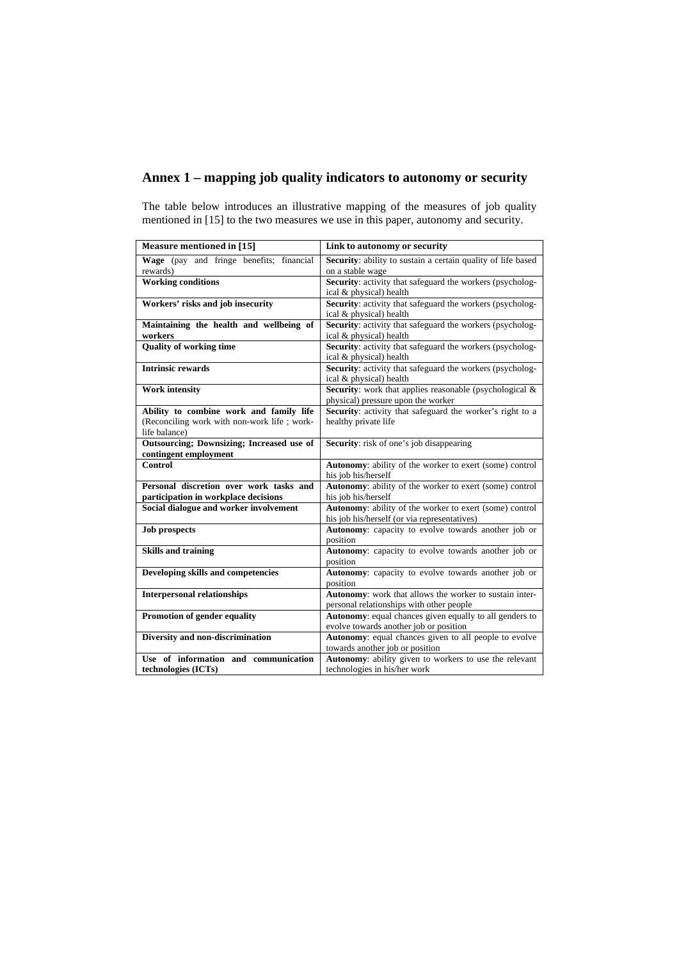## **Annex 1 – mapping job quality indicators to autonomy or security**

The table below introduces an illustrative mapping of the measures of job quality mentioned in [15] to the two measures we use in this paper, autonomy and security.

| <b>Measure mentioned in [15]</b>                                               | Link to autonomy or security                                                                |  |
|--------------------------------------------------------------------------------|---------------------------------------------------------------------------------------------|--|
| Wage (pay and fringe benefits; financial<br>rewards)                           | Security: ability to sustain a certain quality of life based<br>on a stable wage            |  |
| <b>Working conditions</b>                                                      | Security: activity that safeguard the workers (psycholog-                                   |  |
|                                                                                | ical & physical) health                                                                     |  |
| Workers' risks and job insecurity                                              | <b>Security:</b> activity that safeguard the workers (psycholog-<br>ical & physical) health |  |
| Maintaining the health and wellbeing of                                        | Security: activity that safeguard the workers (psycholog-                                   |  |
| workers                                                                        | ical & physical) health                                                                     |  |
| <b>Quality of working time</b>                                                 | <b>Security:</b> activity that safeguard the workers (psycholog-                            |  |
|                                                                                | ical & physical) health                                                                     |  |
| <b>Intrinsic rewards</b>                                                       | <b>Security:</b> activity that safeguard the workers (psycholog-<br>ical & physical) health |  |
| <b>Work intensity</b>                                                          | Security: work that applies reasonable (psychological &                                     |  |
|                                                                                | physical) pressure upon the worker                                                          |  |
| Ability to combine work and family life                                        | Security: activity that safeguard the worker's right to a                                   |  |
| (Reconciling work with non-work life; work-                                    | healthy private life                                                                        |  |
| life balance)                                                                  |                                                                                             |  |
| Outsourcing; Downsizing; Increased use of<br>contingent employment             | <b>Security:</b> risk of one's job disappearing                                             |  |
| Control                                                                        | Autonomy: ability of the worker to exert (some) control                                     |  |
|                                                                                | his job his/herself                                                                         |  |
| Personal discretion over work tasks and                                        | Autonomy: ability of the worker to exert (some) control                                     |  |
| participation in workplace decisions<br>Social dialogue and worker involvement | his job his/herself<br>Autonomy: ability of the worker to exert (some) control              |  |
|                                                                                | his job his/herself (or via representatives)                                                |  |
| <b>Job prospects</b>                                                           | Autonomy: capacity to evolve towards another job or                                         |  |
|                                                                                | position                                                                                    |  |
| <b>Skills and training</b>                                                     | Autonomy: capacity to evolve towards another job or                                         |  |
|                                                                                | position                                                                                    |  |
| Developing skills and competencies                                             | Autonomy: capacity to evolve towards another job or                                         |  |
|                                                                                | position                                                                                    |  |
| <b>Interpersonal relationships</b>                                             | Autonomy: work that allows the worker to sustain inter-                                     |  |
|                                                                                | personal relationships with other people                                                    |  |
| <b>Promotion of gender equality</b>                                            | Autonomy: equal chances given equally to all genders to                                     |  |
|                                                                                | evolve towards another job or position                                                      |  |
| Diversity and non-discrimination                                               | Autonomy: equal chances given to all people to evolve                                       |  |
|                                                                                | towards another job or position                                                             |  |
| Use of information and communication                                           | Autonomy: ability given to workers to use the relevant                                      |  |
| technologies (ICTs)                                                            | technologies in his/her work                                                                |  |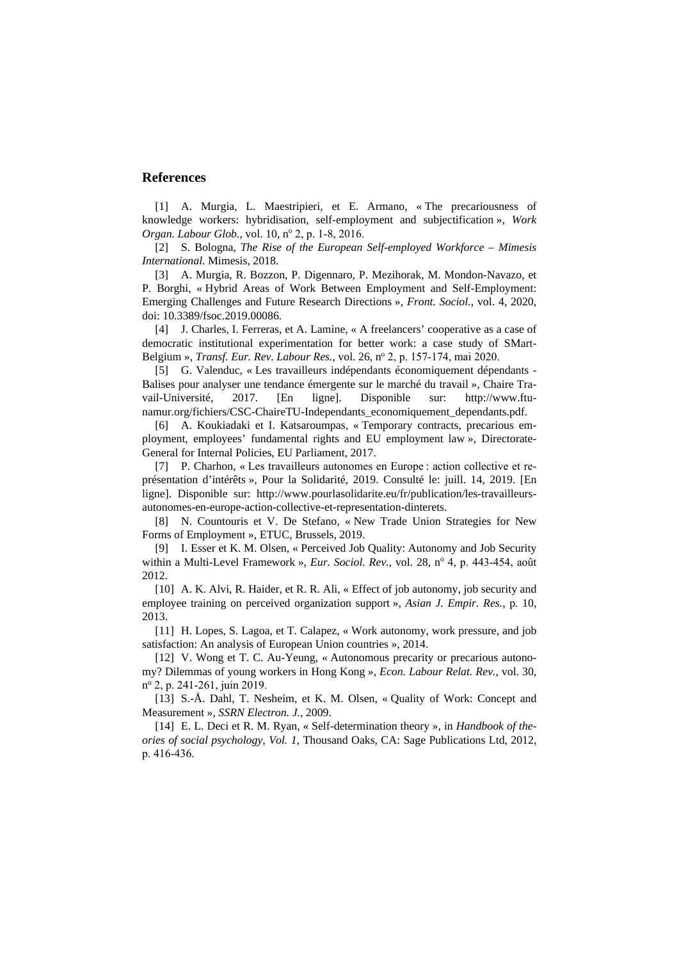### **References**

[1] A. Murgia, L. Maestripieri, et E. Armano, « The precariousness of knowledge workers: hybridisation, self-employment and subjectification », *Work Organ. Labour Glob.*, vol. 10, nº 2, p. 1-8, 2016.

[2] S. Bologna, *The Rise of the European Self-employed Workforce – Mimesis International*. Mimesis, 2018.

[3] A. Murgia, R. Bozzon, P. Digennaro, P. Mezihorak, M. Mondon-Navazo, et P. Borghi, « Hybrid Areas of Work Between Employment and Self-Employment: Emerging Challenges and Future Research Directions », *Front. Sociol.*, vol. 4, 2020, doi: 10.3389/fsoc.2019.00086.

[4] J. Charles, I. Ferreras, et A. Lamine, « A freelancers' cooperative as a case of democratic institutional experimentation for better work: a case study of SMart-Belgium », *Transf. Eur. Rev. Labour Res.*, vol. 26, no 2, p. 157‑174, mai 2020.

[5] G. Valenduc, « Les travailleurs indépendants économiquement dépendants - Balises pour analyser une tendance émergente sur le marché du travail », Chaire Travail-Université, 2017. [En ligne]. Disponible sur: http://www.ftunamur.org/fichiers/CSC-ChaireTU-Independants\_economiquement\_dependants.pdf.

[6] A. Koukiadaki et I. Katsaroumpas, « Temporary contracts, precarious employment, employees' fundamental rights and EU employment law », Directorate-General for Internal Policies, EU Parliament, 2017.

[7] P. Charhon, « Les travailleurs autonomes en Europe : action collective et représentation d'intérêts », Pour la Solidarité, 2019. Consulté le: juill. 14, 2019. [En ligne]. Disponible sur: http://www.pourlasolidarite.eu/fr/publication/les-travailleursautonomes-en-europe-action-collective-et-representation-dinterets.

[8] N. Countouris et V. De Stefano, « New Trade Union Strategies for New Forms of Employment », ETUC, Brussels, 2019.

[9] I. Esser et K. M. Olsen, « Perceived Job Quality: Autonomy and Job Security within a Multi-Level Framework », *Eur. Sociol. Rev.*, vol. 28, n<sup>o</sup> 4, p. 443-454, août 2012.

[10] A. K. Alvi, R. Haider, et R. R. Ali, « Effect of job autonomy, job security and employee training on perceived organization support », *Asian J. Empir. Res.*, p. 10, 2013.

[11] H. Lopes, S. Lagoa, et T. Calapez, « Work autonomy, work pressure, and job satisfaction: An analysis of European Union countries », 2014.

[12] V. Wong et T. C. Au-Yeung, « Autonomous precarity or precarious autonomy? Dilemmas of young workers in Hong Kong », *Econ. Labour Relat. Rev.*, vol. 30, no 2, p. 241‑261, juin 2019.

[13] S.-Å. Dahl, T. Nesheim, et K. M. Olsen, « Quality of Work: Concept and Measurement », *SSRN Electron. J.*, 2009.

[14] E. L. Deci et R. M. Ryan, « Self-determination theory », in *Handbook of theories of social psychology, Vol. 1*, Thousand Oaks, CA: Sage Publications Ltd, 2012, p. 416‑436.